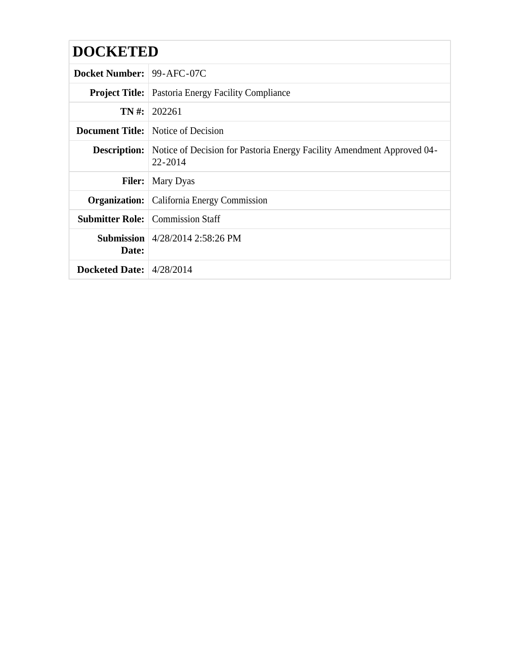| <b>DOCKETED</b>            |                                                                                                       |  |  |  |
|----------------------------|-------------------------------------------------------------------------------------------------------|--|--|--|
|                            |                                                                                                       |  |  |  |
| Docket Number: 99-AFC-07C  |                                                                                                       |  |  |  |
|                            | <b>Project Title:</b> Pastoria Energy Facility Compliance                                             |  |  |  |
|                            | $TN \#: 202261$                                                                                       |  |  |  |
|                            | <b>Document Title:</b> Notice of Decision                                                             |  |  |  |
|                            | <b>Description:</b> Notice of Decision for Pastoria Energy Facility Amendment Approved 04-<br>22-2014 |  |  |  |
|                            | <b>Filer:</b> Mary Dyas                                                                               |  |  |  |
|                            | <b>Organization:</b> California Energy Commission                                                     |  |  |  |
|                            | <b>Submitter Role:</b> Commission Staff                                                               |  |  |  |
| Date:                      | <b>Submission</b> $ 4/28/20142:58:26$ PM                                                              |  |  |  |
| Docketed Date: $4/28/2014$ |                                                                                                       |  |  |  |
|                            |                                                                                                       |  |  |  |